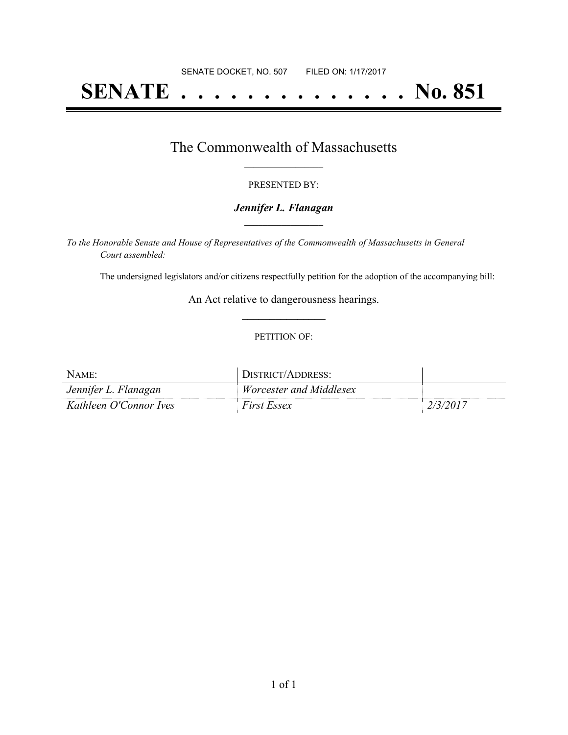# **SENATE . . . . . . . . . . . . . . No. 851**

### The Commonwealth of Massachusetts **\_\_\_\_\_\_\_\_\_\_\_\_\_\_\_\_\_**

#### PRESENTED BY:

#### *Jennifer L. Flanagan* **\_\_\_\_\_\_\_\_\_\_\_\_\_\_\_\_\_**

*To the Honorable Senate and House of Representatives of the Commonwealth of Massachusetts in General Court assembled:*

The undersigned legislators and/or citizens respectfully petition for the adoption of the accompanying bill:

An Act relative to dangerousness hearings. **\_\_\_\_\_\_\_\_\_\_\_\_\_\_\_**

#### PETITION OF:

| NAME:                  | DISTRICT/ADDRESS:              |          |
|------------------------|--------------------------------|----------|
| Jennifer L. Flanagan   | <i>Worcester and Middlesex</i> |          |
| Kathleen O'Connor Ives | <i>First Essex</i>             | 2/3/2017 |